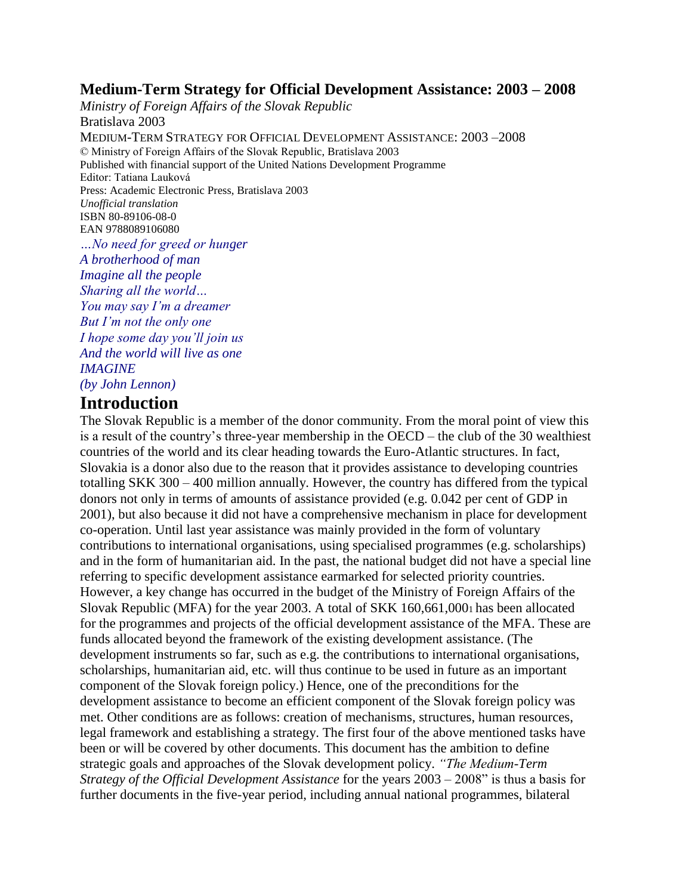### **Medium-Term Strategy for Official Development Assistance: 2003 – 2008**

*Ministry of Foreign Affairs of the Slovak Republic* Bratislava 2003 MEDIUM-TERM STRATEGY FOR OFFICIAL DEVELOPMENT ASSISTANCE: 2003 –2008 © Ministry of Foreign Affairs of the Slovak Republic, Bratislava 2003 Published with financial support of the United Nations Development Programme Editor: Tatiana Lauková Press: Academic Electronic Press, Bratislava 2003 *Unofficial translation* ISBN 80-89106-08-0 EAN 9788089106080 *…No need for greed or hunger*

*A brotherhood of man Imagine all the people Sharing all the world… You may say I'm a dreamer But I'm not the only one I hope some day you'll join us And the world will live as one IMAGINE*

*(by John Lennon)*

## **Introduction**

The Slovak Republic is a member of the donor community. From the moral point of view this is a result of the country's three-year membership in the OECD – the club of the 30 wealthiest countries of the world and its clear heading towards the Euro-Atlantic structures. In fact, Slovakia is a donor also due to the reason that it provides assistance to developing countries totalling SKK 300 – 400 million annually. However, the country has differed from the typical donors not only in terms of amounts of assistance provided (e.g. 0.042 per cent of GDP in 2001), but also because it did not have a comprehensive mechanism in place for development co-operation. Until last year assistance was mainly provided in the form of voluntary contributions to international organisations, using specialised programmes (e.g. scholarships) and in the form of humanitarian aid. In the past, the national budget did not have a special line referring to specific development assistance earmarked for selected priority countries. However, a key change has occurred in the budget of the Ministry of Foreign Affairs of the Slovak Republic (MFA) for the year 2003. A total of SKK 160,661,0001 has been allocated for the programmes and projects of the official development assistance of the MFA. These are funds allocated beyond the framework of the existing development assistance. (The development instruments so far, such as e.g. the contributions to international organisations, scholarships, humanitarian aid, etc. will thus continue to be used in future as an important component of the Slovak foreign policy.) Hence, one of the preconditions for the development assistance to become an efficient component of the Slovak foreign policy was met. Other conditions are as follows: creation of mechanisms, structures, human resources, legal framework and establishing a strategy. The first four of the above mentioned tasks have been or will be covered by other documents. This document has the ambition to define strategic goals and approaches of the Slovak development policy. *"The Medium-Term Strategy of the Official Development Assistance* for the years 2003 – 2008" is thus a basis for further documents in the five-year period, including annual national programmes, bilateral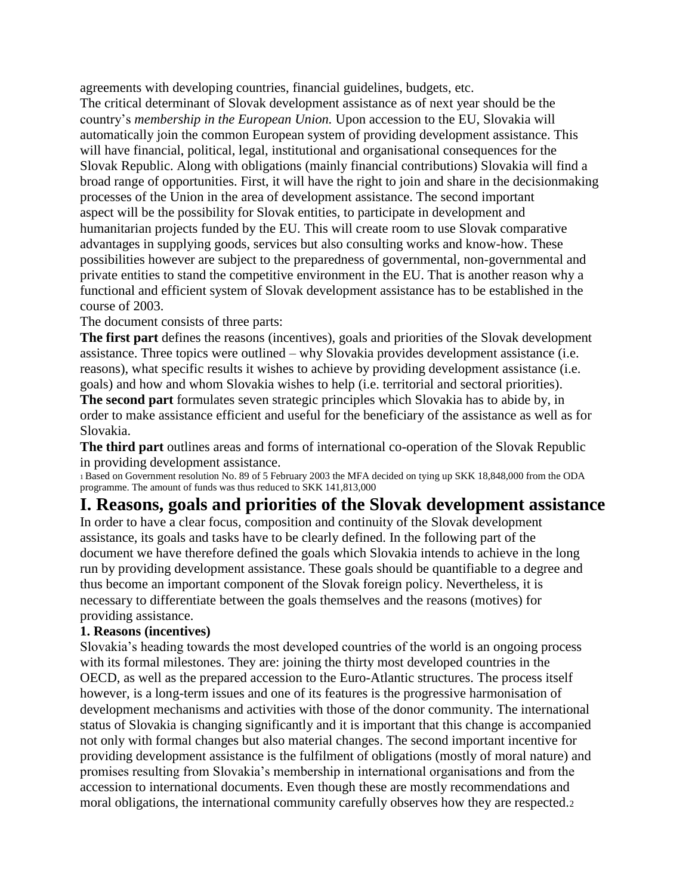agreements with developing countries, financial guidelines, budgets, etc.

The critical determinant of Slovak development assistance as of next year should be the country's *membership in the European Union.* Upon accession to the EU, Slovakia will automatically join the common European system of providing development assistance. This will have financial, political, legal, institutional and organisational consequences for the Slovak Republic. Along with obligations (mainly financial contributions) Slovakia will find a broad range of opportunities. First, it will have the right to join and share in the decisionmaking processes of the Union in the area of development assistance. The second important aspect will be the possibility for Slovak entities, to participate in development and humanitarian projects funded by the EU. This will create room to use Slovak comparative advantages in supplying goods, services but also consulting works and know-how. These possibilities however are subject to the preparedness of governmental, non-governmental and private entities to stand the competitive environment in the EU. That is another reason why a functional and efficient system of Slovak development assistance has to be established in the course of 2003.

The document consists of three parts:

**The first part** defines the reasons (incentives), goals and priorities of the Slovak development assistance. Three topics were outlined – why Slovakia provides development assistance (i.e. reasons), what specific results it wishes to achieve by providing development assistance (i.e. goals) and how and whom Slovakia wishes to help (i.e. territorial and sectoral priorities).

**The second part** formulates seven strategic principles which Slovakia has to abide by, in order to make assistance efficient and useful for the beneficiary of the assistance as well as for Slovakia.

**The third part** outlines areas and forms of international co-operation of the Slovak Republic in providing development assistance.

<sup>1</sup>Based on Government resolution No. 89 of 5 February 2003 the MFA decided on tying up SKK 18,848,000 from the ODA programme. The amount of funds was thus reduced to SKK 141,813,000

## **I. Reasons, goals and priorities of the Slovak development assistance**

In order to have a clear focus, composition and continuity of the Slovak development assistance, its goals and tasks have to be clearly defined. In the following part of the document we have therefore defined the goals which Slovakia intends to achieve in the long run by providing development assistance. These goals should be quantifiable to a degree and thus become an important component of the Slovak foreign policy. Nevertheless, it is necessary to differentiate between the goals themselves and the reasons (motives) for providing assistance.

#### **1. Reasons (incentives)**

Slovakia's heading towards the most developed countries of the world is an ongoing process with its formal milestones. They are: joining the thirty most developed countries in the OECD, as well as the prepared accession to the Euro-Atlantic structures. The process itself however, is a long-term issues and one of its features is the progressive harmonisation of development mechanisms and activities with those of the donor community. The international status of Slovakia is changing significantly and it is important that this change is accompanied not only with formal changes but also material changes. The second important incentive for providing development assistance is the fulfilment of obligations (mostly of moral nature) and promises resulting from Slovakia's membership in international organisations and from the accession to international documents. Even though these are mostly recommendations and moral obligations, the international community carefully observes how they are respected.2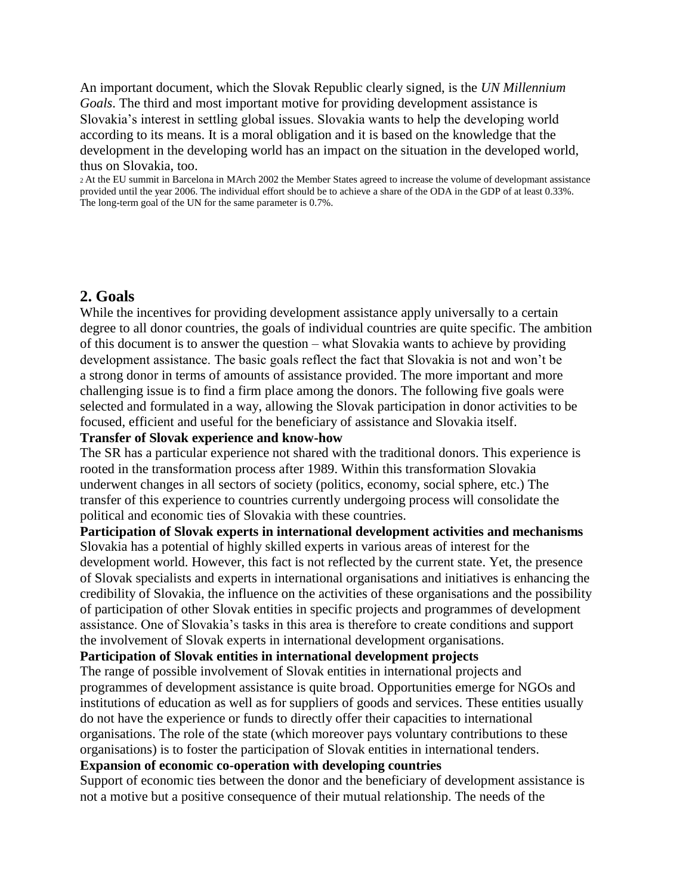An important document, which the Slovak Republic clearly signed, is the *UN Millennium Goals*. The third and most important motive for providing development assistance is Slovakia's interest in settling global issues. Slovakia wants to help the developing world according to its means. It is a moral obligation and it is based on the knowledge that the development in the developing world has an impact on the situation in the developed world, thus on Slovakia, too.

<sup>2</sup>At the EU summit in Barcelona in MArch 2002 the Member States agreed to increase the volume of developmant assistance provided until the year 2006. The individual effort should be to achieve a share of the ODA in the GDP of at least 0.33%. The long-term goal of the UN for the same parameter is 0.7%.

### **2. Goals**

While the incentives for providing development assistance apply universally to a certain degree to all donor countries, the goals of individual countries are quite specific. The ambition of this document is to answer the question – what Slovakia wants to achieve by providing development assistance. The basic goals reflect the fact that Slovakia is not and won't be a strong donor in terms of amounts of assistance provided. The more important and more challenging issue is to find a firm place among the donors. The following five goals were selected and formulated in a way, allowing the Slovak participation in donor activities to be focused, efficient and useful for the beneficiary of assistance and Slovakia itself.

#### **Transfer of Slovak experience and know-how**

The SR has a particular experience not shared with the traditional donors. This experience is rooted in the transformation process after 1989. Within this transformation Slovakia underwent changes in all sectors of society (politics, economy, social sphere, etc.) The transfer of this experience to countries currently undergoing process will consolidate the political and economic ties of Slovakia with these countries.

**Participation of Slovak experts in international development activities and mechanisms** Slovakia has a potential of highly skilled experts in various areas of interest for the development world. However, this fact is not reflected by the current state. Yet, the presence of Slovak specialists and experts in international organisations and initiatives is enhancing the credibility of Slovakia, the influence on the activities of these organisations and the possibility of participation of other Slovak entities in specific projects and programmes of development assistance. One of Slovakia's tasks in this area is therefore to create conditions and support the involvement of Slovak experts in international development organisations.

#### **Participation of Slovak entities in international development projects**

The range of possible involvement of Slovak entities in international projects and programmes of development assistance is quite broad. Opportunities emerge for NGOs and institutions of education as well as for suppliers of goods and services. These entities usually do not have the experience or funds to directly offer their capacities to international organisations. The role of the state (which moreover pays voluntary contributions to these organisations) is to foster the participation of Slovak entities in international tenders.

#### **Expansion of economic co-operation with developing countries**

Support of economic ties between the donor and the beneficiary of development assistance is not a motive but a positive consequence of their mutual relationship. The needs of the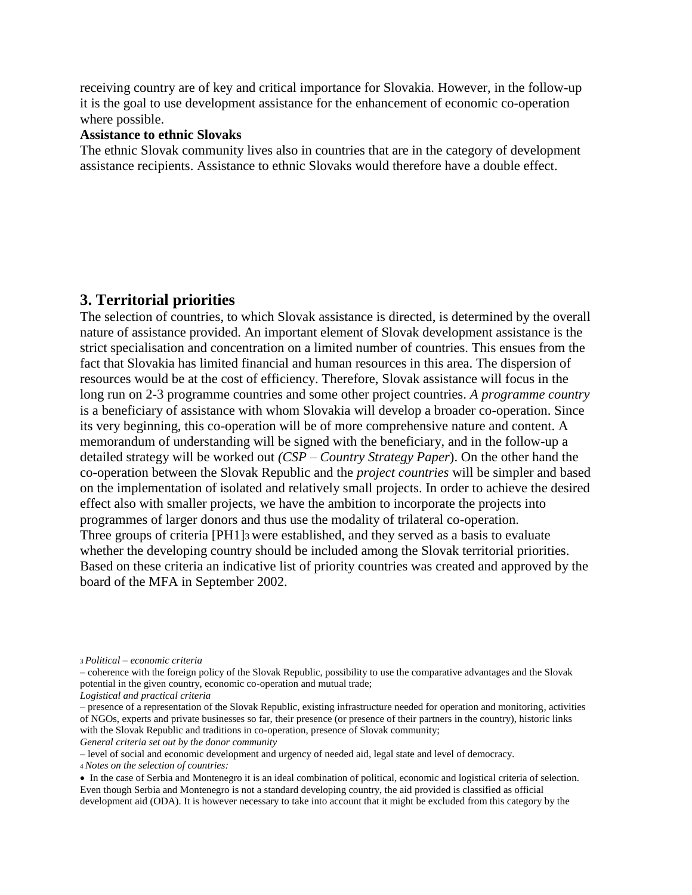receiving country are of key and critical importance for Slovakia. However, in the follow-up it is the goal to use development assistance for the enhancement of economic co-operation where possible.

#### **Assistance to ethnic Slovaks**

The ethnic Slovak community lives also in countries that are in the category of development assistance recipients. Assistance to ethnic Slovaks would therefore have a double effect.

### **3. Territorial priorities**

The selection of countries, to which Slovak assistance is directed, is determined by the overall nature of assistance provided. An important element of Slovak development assistance is the strict specialisation and concentration on a limited number of countries. This ensues from the fact that Slovakia has limited financial and human resources in this area. The dispersion of resources would be at the cost of efficiency. Therefore, Slovak assistance will focus in the long run on 2-3 programme countries and some other project countries. *A programme country* is a beneficiary of assistance with whom Slovakia will develop a broader co-operation. Since its very beginning, this co-operation will be of more comprehensive nature and content. A memorandum of understanding will be signed with the beneficiary, and in the follow-up a detailed strategy will be worked out *(CSP – Country Strategy Paper*). On the other hand the co-operation between the Slovak Republic and the *project countries* will be simpler and based on the implementation of isolated and relatively small projects. In order to achieve the desired effect also with smaller projects, we have the ambition to incorporate the projects into programmes of larger donors and thus use the modality of trilateral co-operation. Three groups of criteria [PH1]3 were established, and they served as a basis to evaluate whether the developing country should be included among the Slovak territorial priorities. Based on these criteria an indicative list of priority countries was created and approved by the board of the MFA in September 2002.

*General criteria set out by the donor community*

– level of social and economic development and urgency of needed aid, legal state and level of democracy.

<sup>4</sup>*Notes on the selection of countries:*

<sup>3</sup>*Political – economic criteria*

<sup>–</sup> coherence with the foreign policy of the Slovak Republic, possibility to use the comparative advantages and the Slovak potential in the given country, economic co-operation and mutual trade;

*Logistical and practical criteria*

<sup>–</sup> presence of a representation of the Slovak Republic, existing infrastructure needed for operation and monitoring, activities of NGOs, experts and private businesses so far, their presence (or presence of their partners in the country), historic links with the Slovak Republic and traditions in co-operation, presence of Slovak community;

In the case of Serbia and Montenegro it is an ideal combination of political, economic and logistical criteria of selection. Even though Serbia and Montenegro is not a standard developing country, the aid provided is classified as official development aid (ODA). It is however necessary to take into account that it might be excluded from this category by the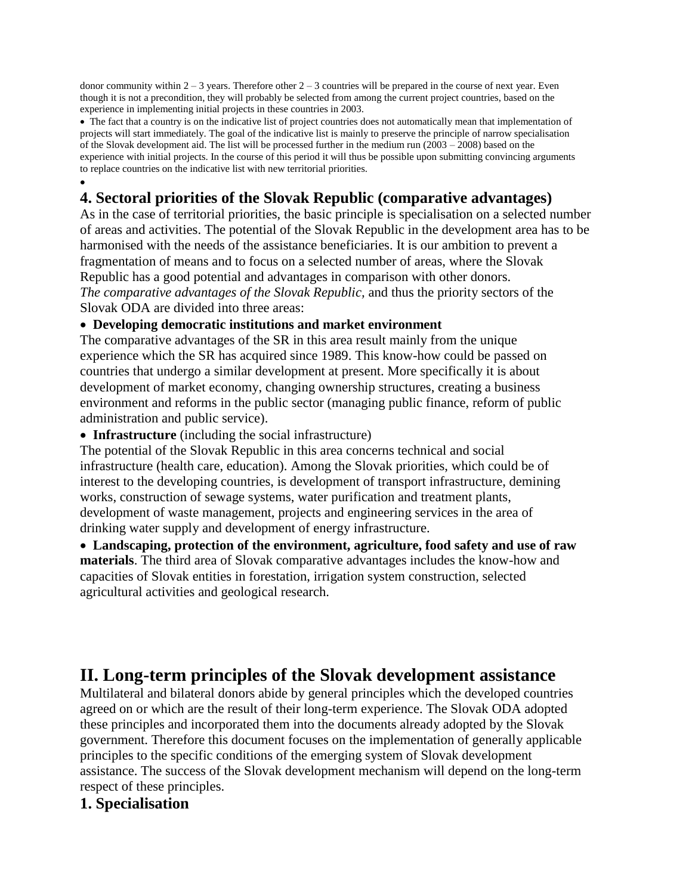donor community within  $2 - 3$  years. Therefore other  $2 - 3$  countries will be prepared in the course of next year. Even though it is not a precondition, they will probably be selected from among the current project countries, based on the experience in implementing initial projects in these countries in 2003.

• The fact that a country is on the indicative list of project countries does not automatically mean that implementation of projects will start immediately. The goal of the indicative list is mainly to preserve the principle of narrow specialisation of the Slovak development aid. The list will be processed further in the medium run (2003 – 2008) based on the experience with initial projects. In the course of this period it will thus be possible upon submitting convincing arguments to replace countries on the indicative list with new territorial priorities.

#### $\bullet$ **4. Sectoral priorities of the Slovak Republic (comparative advantages)**

As in the case of territorial priorities, the basic principle is specialisation on a selected number of areas and activities. The potential of the Slovak Republic in the development area has to be harmonised with the needs of the assistance beneficiaries. It is our ambition to prevent a fragmentation of means and to focus on a selected number of areas, where the Slovak Republic has a good potential and advantages in comparison with other donors. *The comparative advantages of the Slovak Republic,* and thus the priority sectors of the Slovak ODA are divided into three areas:

#### **Developing democratic institutions and market environment**

The comparative advantages of the SR in this area result mainly from the unique experience which the SR has acquired since 1989. This know-how could be passed on countries that undergo a similar development at present. More specifically it is about development of market economy, changing ownership structures, creating a business environment and reforms in the public sector (managing public finance, reform of public administration and public service).

**Infrastructure** (including the social infrastructure)

The potential of the Slovak Republic in this area concerns technical and social infrastructure (health care, education). Among the Slovak priorities, which could be of interest to the developing countries, is development of transport infrastructure, demining works, construction of sewage systems, water purification and treatment plants, development of waste management, projects and engineering services in the area of drinking water supply and development of energy infrastructure.

 **Landscaping, protection of the environment, agriculture, food safety and use of raw materials**. The third area of Slovak comparative advantages includes the know-how and capacities of Slovak entities in forestation, irrigation system construction, selected agricultural activities and geological research.

# **II. Long-term principles of the Slovak development assistance**

Multilateral and bilateral donors abide by general principles which the developed countries agreed on or which are the result of their long-term experience. The Slovak ODA adopted these principles and incorporated them into the documents already adopted by the Slovak government. Therefore this document focuses on the implementation of generally applicable principles to the specific conditions of the emerging system of Slovak development assistance. The success of the Slovak development mechanism will depend on the long-term respect of these principles.

### **1. Specialisation**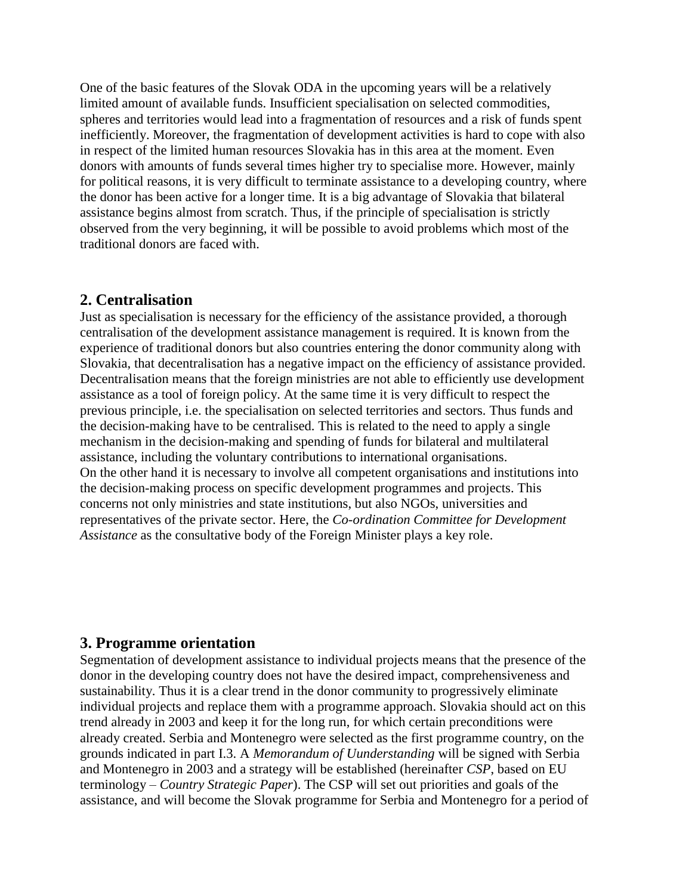One of the basic features of the Slovak ODA in the upcoming years will be a relatively limited amount of available funds. Insufficient specialisation on selected commodities, spheres and territories would lead into a fragmentation of resources and a risk of funds spent inefficiently. Moreover, the fragmentation of development activities is hard to cope with also in respect of the limited human resources Slovakia has in this area at the moment. Even donors with amounts of funds several times higher try to specialise more. However, mainly for political reasons, it is very difficult to terminate assistance to a developing country, where the donor has been active for a longer time. It is a big advantage of Slovakia that bilateral assistance begins almost from scratch. Thus, if the principle of specialisation is strictly observed from the very beginning, it will be possible to avoid problems which most of the traditional donors are faced with.

### **2. Centralisation**

Just as specialisation is necessary for the efficiency of the assistance provided, a thorough centralisation of the development assistance management is required. It is known from the experience of traditional donors but also countries entering the donor community along with Slovakia, that decentralisation has a negative impact on the efficiency of assistance provided. Decentralisation means that the foreign ministries are not able to efficiently use development assistance as a tool of foreign policy. At the same time it is very difficult to respect the previous principle, i.e. the specialisation on selected territories and sectors. Thus funds and the decision-making have to be centralised. This is related to the need to apply a single mechanism in the decision-making and spending of funds for bilateral and multilateral assistance, including the voluntary contributions to international organisations. On the other hand it is necessary to involve all competent organisations and institutions into the decision-making process on specific development programmes and projects. This concerns not only ministries and state institutions, but also NGOs, universities and representatives of the private sector. Here, the *Co-ordination Committee for Development Assistance* as the consultative body of the Foreign Minister plays a key role.

### **3. Programme orientation**

Segmentation of development assistance to individual projects means that the presence of the donor in the developing country does not have the desired impact, comprehensiveness and sustainability. Thus it is a clear trend in the donor community to progressively eliminate individual projects and replace them with a programme approach. Slovakia should act on this trend already in 2003 and keep it for the long run, for which certain preconditions were already created. Serbia and Montenegro were selected as the first programme country, on the grounds indicated in part I.3. A *Memorandum of Uunderstanding* will be signed with Serbia and Montenegro in 2003 and a strategy will be established (hereinafter *CSP*, based on EU terminology – *Country Strategic Paper*). The CSP will set out priorities and goals of the assistance, and will become the Slovak programme for Serbia and Montenegro for a period of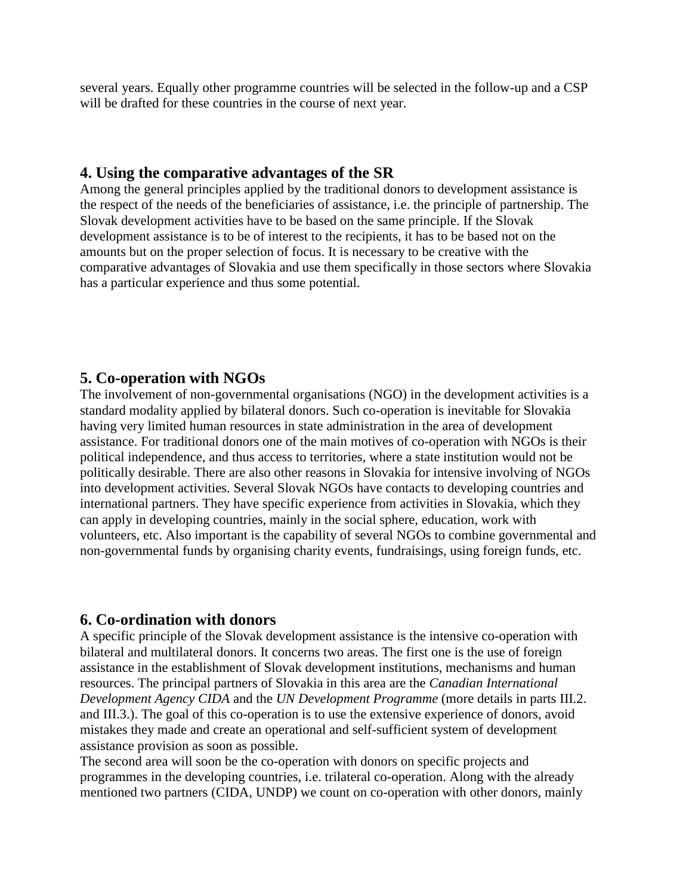several years. Equally other programme countries will be selected in the follow-up and a CSP will be drafted for these countries in the course of next year.

## **4. Using the comparative advantages of the SR**

Among the general principles applied by the traditional donors to development assistance is the respect of the needs of the beneficiaries of assistance, i.e. the principle of partnership. The Slovak development activities have to be based on the same principle. If the Slovak development assistance is to be of interest to the recipients, it has to be based not on the amounts but on the proper selection of focus. It is necessary to be creative with the comparative advantages of Slovakia and use them specifically in those sectors where Slovakia has a particular experience and thus some potential.

## **5. Co-operation with NGOs**

The involvement of non-governmental organisations (NGO) in the development activities is a standard modality applied by bilateral donors. Such co-operation is inevitable for Slovakia having very limited human resources in state administration in the area of development assistance. For traditional donors one of the main motives of co-operation with NGOs is their political independence, and thus access to territories, where a state institution would not be politically desirable. There are also other reasons in Slovakia for intensive involving of NGOs into development activities. Several Slovak NGOs have contacts to developing countries and international partners. They have specific experience from activities in Slovakia, which they can apply in developing countries, mainly in the social sphere, education, work with volunteers, etc. Also important is the capability of several NGOs to combine governmental and non-governmental funds by organising charity events, fundraisings, using foreign funds, etc.

## **6. Co-ordination with donors**

A specific principle of the Slovak development assistance is the intensive co-operation with bilateral and multilateral donors. It concerns two areas. The first one is the use of foreign assistance in the establishment of Slovak development institutions, mechanisms and human resources. The principal partners of Slovakia in this area are the *Canadian International Development Agency CIDA* and the *UN Development Programme* (more details in parts III.2. and III.3.). The goal of this co-operation is to use the extensive experience of donors, avoid mistakes they made and create an operational and self-sufficient system of development assistance provision as soon as possible.

The second area will soon be the co-operation with donors on specific projects and programmes in the developing countries, i.e. trilateral co-operation. Along with the already mentioned two partners (CIDA, UNDP) we count on co-operation with other donors, mainly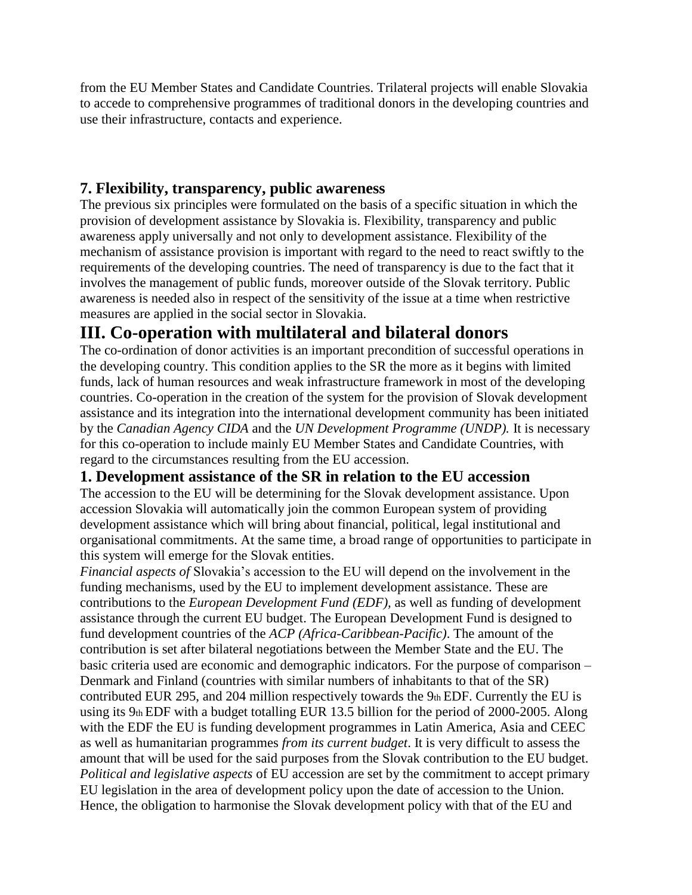from the EU Member States and Candidate Countries. Trilateral projects will enable Slovakia to accede to comprehensive programmes of traditional donors in the developing countries and use their infrastructure, contacts and experience.

## **7. Flexibility, transparency, public awareness**

The previous six principles were formulated on the basis of a specific situation in which the provision of development assistance by Slovakia is. Flexibility, transparency and public awareness apply universally and not only to development assistance. Flexibility of the mechanism of assistance provision is important with regard to the need to react swiftly to the requirements of the developing countries. The need of transparency is due to the fact that it involves the management of public funds, moreover outside of the Slovak territory. Public awareness is needed also in respect of the sensitivity of the issue at a time when restrictive measures are applied in the social sector in Slovakia.

# **III. Co-operation with multilateral and bilateral donors**

The co-ordination of donor activities is an important precondition of successful operations in the developing country. This condition applies to the SR the more as it begins with limited funds, lack of human resources and weak infrastructure framework in most of the developing countries. Co-operation in the creation of the system for the provision of Slovak development assistance and its integration into the international development community has been initiated by the *Canadian Agency CIDA* and the *UN Development Programme (UNDP).* It is necessary for this co-operation to include mainly EU Member States and Candidate Countries, with regard to the circumstances resulting from the EU accession.

## **1. Development assistance of the SR in relation to the EU accession**

The accession to the EU will be determining for the Slovak development assistance. Upon accession Slovakia will automatically join the common European system of providing development assistance which will bring about financial, political, legal institutional and organisational commitments. At the same time, a broad range of opportunities to participate in this system will emerge for the Slovak entities.

*Financial aspects of* Slovakia's accession to the EU will depend on the involvement in the funding mechanisms, used by the EU to implement development assistance. These are contributions to the *European Development Fund (EDF),* as well as funding of development assistance through the current EU budget. The European Development Fund is designed to fund development countries of the *ACP (Africa-Caribbean-Pacific)*. The amount of the contribution is set after bilateral negotiations between the Member State and the EU. The basic criteria used are economic and demographic indicators. For the purpose of comparison – Denmark and Finland (countries with similar numbers of inhabitants to that of the SR) contributed EUR 295, and 204 million respectively towards the 9th EDF. Currently the EU is using its 9th EDF with a budget totalling EUR 13.5 billion for the period of 2000-2005. Along with the EDF the EU is funding development programmes in Latin America, Asia and CEEC as well as humanitarian programmes *from its current budget*. It is very difficult to assess the amount that will be used for the said purposes from the Slovak contribution to the EU budget. *Political and legislative aspects* of EU accession are set by the commitment to accept primary EU legislation in the area of development policy upon the date of accession to the Union. Hence, the obligation to harmonise the Slovak development policy with that of the EU and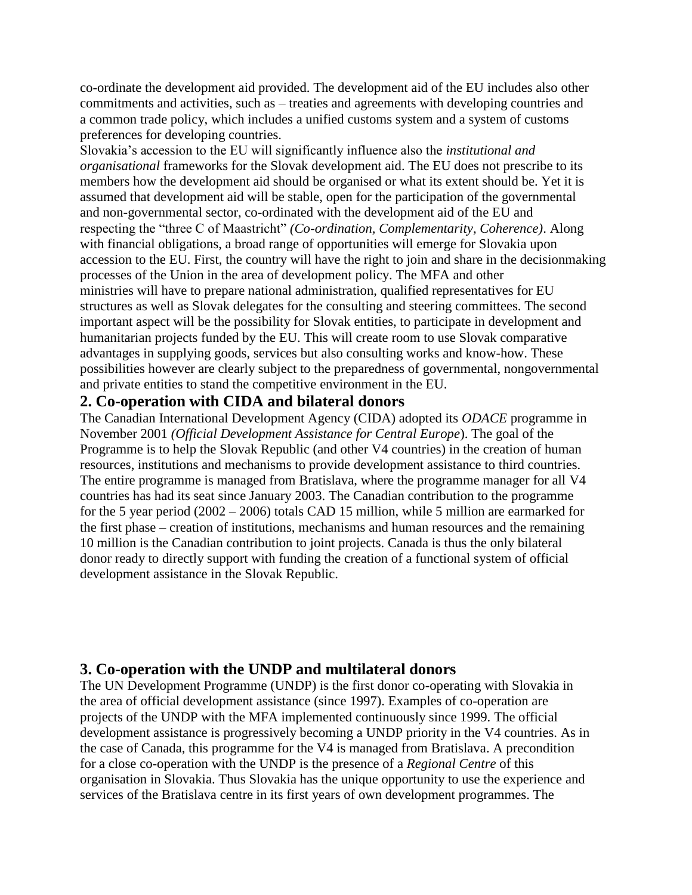co-ordinate the development aid provided. The development aid of the EU includes also other commitments and activities, such as – treaties and agreements with developing countries and a common trade policy, which includes a unified customs system and a system of customs preferences for developing countries.

Slovakia's accession to the EU will significantly influence also the *institutional and organisational* frameworks for the Slovak development aid. The EU does not prescribe to its members how the development aid should be organised or what its extent should be. Yet it is assumed that development aid will be stable, open for the participation of the governmental and non-governmental sector, co-ordinated with the development aid of the EU and respecting the "three C of Maastricht" *(Co-ordination, Complementarity, Coherence)*. Along with financial obligations, a broad range of opportunities will emerge for Slovakia upon accession to the EU. First, the country will have the right to join and share in the decisionmaking processes of the Union in the area of development policy. The MFA and other ministries will have to prepare national administration, qualified representatives for EU structures as well as Slovak delegates for the consulting and steering committees. The second important aspect will be the possibility for Slovak entities, to participate in development and humanitarian projects funded by the EU. This will create room to use Slovak comparative advantages in supplying goods, services but also consulting works and know-how. These possibilities however are clearly subject to the preparedness of governmental, nongovernmental and private entities to stand the competitive environment in the EU.

### **2. Co-operation with CIDA and bilateral donors**

The Canadian International Development Agency (CIDA) adopted its *ODACE* programme in November 2001 *(Official Development Assistance for Central Europe*). The goal of the Programme is to help the Slovak Republic (and other V4 countries) in the creation of human resources, institutions and mechanisms to provide development assistance to third countries. The entire programme is managed from Bratislava, where the programme manager for all V4 countries has had its seat since January 2003. The Canadian contribution to the programme for the 5 year period (2002 – 2006) totals CAD 15 million, while 5 million are earmarked for the first phase – creation of institutions, mechanisms and human resources and the remaining 10 million is the Canadian contribution to joint projects. Canada is thus the only bilateral donor ready to directly support with funding the creation of a functional system of official development assistance in the Slovak Republic.

### **3. Co-operation with the UNDP and multilateral donors**

The UN Development Programme (UNDP) is the first donor co-operating with Slovakia in the area of official development assistance (since 1997). Examples of co-operation are projects of the UNDP with the MFA implemented continuously since 1999. The official development assistance is progressively becoming a UNDP priority in the V4 countries. As in the case of Canada, this programme for the V4 is managed from Bratislava. A precondition for a close co-operation with the UNDP is the presence of a *Regional Centre* of this organisation in Slovakia. Thus Slovakia has the unique opportunity to use the experience and services of the Bratislava centre in its first years of own development programmes. The